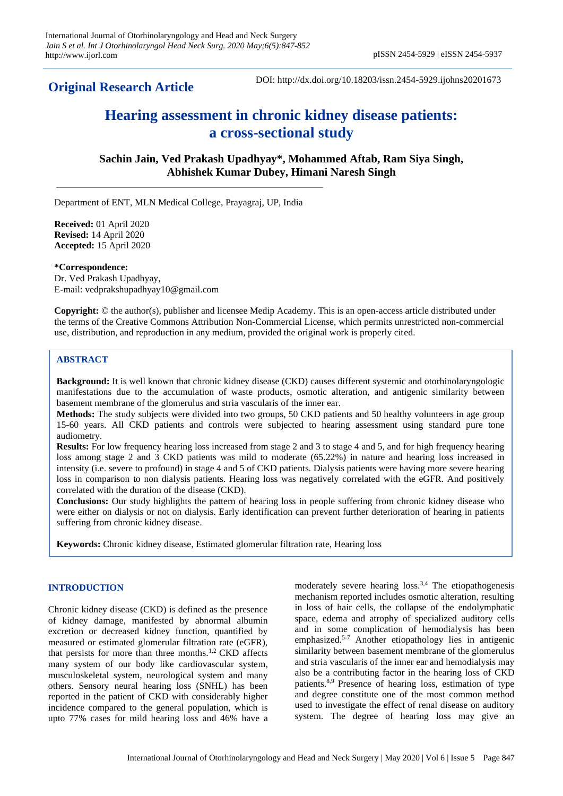# **Original Research Article**

DOI: http://dx.doi.org/10.18203/issn.2454-5929.ijohns20201673

# **Hearing assessment in chronic kidney disease patients: a cross-sectional study**

**Sachin Jain, Ved Prakash Upadhyay\*, Mohammed Aftab, Ram Siya Singh, Abhishek Kumar Dubey, Himani Naresh Singh**

Department of ENT, MLN Medical College, Prayagraj, UP, India

**Received:** 01 April 2020 **Revised:** 14 April 2020 **Accepted:** 15 April 2020

### **\*Correspondence:**

Dr. Ved Prakash Upadhyay, E-mail: vedprakshupadhyay10@gmail.com

**Copyright:** © the author(s), publisher and licensee Medip Academy. This is an open-access article distributed under the terms of the Creative Commons Attribution Non-Commercial License, which permits unrestricted non-commercial use, distribution, and reproduction in any medium, provided the original work is properly cited.

# **ABSTRACT**

**Background:** It is well known that chronic kidney disease (CKD) causes different systemic and otorhinolaryngologic manifestations due to the accumulation of waste products, osmotic alteration, and antigenic similarity between basement membrane of the glomerulus and stria vascularis of the inner ear.

**Methods:** The study subjects were divided into two groups, 50 CKD patients and 50 healthy volunteers in age group 15-60 years. All CKD patients and controls were subjected to hearing assessment using standard pure tone audiometry.

**Results:** For low frequency hearing loss increased from stage 2 and 3 to stage 4 and 5, and for high frequency hearing loss among stage 2 and 3 CKD patients was mild to moderate (65.22%) in nature and hearing loss increased in intensity (i.e. severe to profound) in stage 4 and 5 of CKD patients. Dialysis patients were having more severe hearing loss in comparison to non dialysis patients. Hearing loss was negatively correlated with the eGFR. And positively correlated with the duration of the disease (CKD).

**Conclusions:** Our study highlights the pattern of hearing loss in people suffering from chronic kidney disease who were either on dialysis or not on dialysis. Early identification can prevent further deterioration of hearing in patients suffering from chronic kidney disease.

**Keywords:** Chronic kidney disease, Estimated glomerular filtration rate, Hearing loss

# **INTRODUCTION**

Chronic kidney disease (CKD) is defined as the presence of kidney damage, manifested by abnormal albumin excretion or decreased kidney function, quantified by measured or estimated glomerular filtration rate (eGFR), that persists for more than three months.<sup>1,2</sup> CKD affects many system of our body like cardiovascular system, musculoskeletal system, neurological system and many others. Sensory neural hearing loss (SNHL) has been reported in the patient of CKD with considerably higher incidence compared to the general population, which is upto 77% cases for mild hearing loss and 46% have a moderately severe hearing  $loss^{3,4}$  The etiopathogenesis mechanism reported includes osmotic alteration, resulting in loss of hair cells, the collapse of the endolymphatic space, edema and atrophy of specialized auditory cells and in some complication of hemodialysis has been emphasized.5-7 Another etiopathology lies in antigenic similarity between basement membrane of the glomerulus and stria vascularis of the inner ear and hemodialysis may also be a contributing factor in the hearing loss of CKD patients.8,9 Presence of hearing loss, estimation of type and degree constitute one of the most common method used to investigate the effect of renal disease on auditory system. The degree of hearing loss may give an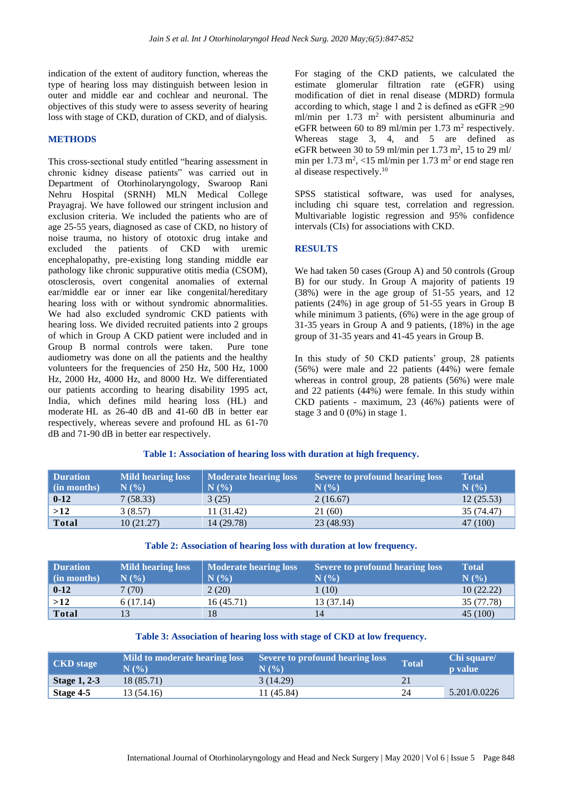indication of the extent of auditory function, whereas the type of hearing loss may distinguish between lesion in outer and middle ear and cochlear and neuronal. The objectives of this study were to assess severity of hearing loss with stage of CKD, duration of CKD, and of dialysis.

## **METHODS**

This cross-sectional study entitled "hearing assessment in chronic kidney disease patients" was carried out in Department of Otorhinolaryngology, Swaroop Rani Nehru Hospital (SRNH) MLN Medical College Prayagraj. We have followed our stringent inclusion and exclusion criteria. We included the patients who are of age 25-55 years, diagnosed as case of CKD, no history of noise trauma, no history of ototoxic drug intake and excluded the patients of CKD with uremic encephalopathy, pre-existing long standing middle ear pathology like chronic suppurative otitis media (CSOM), otosclerosis, overt congenital anomalies of external ear/middle ear or inner ear like congenital/hereditary hearing loss with or without syndromic abnormalities. We had also excluded syndromic CKD patients with hearing loss. We divided recruited patients into 2 groups of which in Group A CKD patient were included and in Group B normal controls were taken. Pure tone audiometry was done on all the patients and the healthy volunteers for the frequencies of 250 Hz, 500 Hz, 1000 Hz, 2000 Hz, 4000 Hz, and 8000 Hz. We differentiated our patients according to hearing disability 1995 act, India, which defines mild hearing loss (HL) and moderate HL as 26-40 dB and 41-60 dB in better ear respectively, whereas severe and profound HL as 61-70 dB and 71-90 dB in better ear respectively.

For staging of the CKD patients, we calculated the estimate glomerular filtration rate (eGFR) using modification of diet in renal disease (MDRD) formula according to which, stage 1 and 2 is defined as  $eGFR \ge 90$ ml/min per  $1.73$  m<sup>2</sup> with persistent albuminuria and eGFR between 60 to 89 ml/min per  $1.73$  m<sup>2</sup> respectively. Whereas stage 3, 4, and 5 are defined as eGFR between 30 to 59 ml/min per  $1.73$  m<sup>2</sup>, 15 to 29 ml/ min per  $1.73 \text{ m}^2$ , <15 ml/min per  $1.73 \text{ m}^2$  or end stage ren al disease respectively.<sup>10</sup>

SPSS statistical software, was used for analyses, including chi square test, correlation and regression. Multivariable logistic regression and 95% confidence intervals (CIs) for associations with CKD.

### **RESULTS**

We had taken 50 cases (Group A) and 50 controls (Group B) for our study. In Group A majority of patients 19 (38%) were in the age group of 51-55 years, and 12 patients (24%) in age group of 51-55 years in Group B while minimum 3 patients, (6%) were in the age group of 31-35 years in Group A and 9 patients, (18%) in the age group of 31-35 years and 41-45 years in Group B.

In this study of 50 CKD patients' group, 28 patients (56%) were male and 22 patients (44%) were female whereas in control group, 28 patients (56%) were male and 22 patients (44%) were female. In this study within CKD patients - maximum, 23 (46%) patients were of stage 3 and 0 (0%) in stage 1.

| <b>Duration</b><br>(in months) | <b>Mild hearing loss</b><br>$N$ $\left( \frac{9}{0} \right)$ | <b>Moderate hearing loss</b><br>$N($ %) | <b>Severe to profound hearing loss</b><br>N(% | <b>Total</b><br>N(%) |
|--------------------------------|--------------------------------------------------------------|-----------------------------------------|-----------------------------------------------|----------------------|
| $0 - 12$                       | 7(58.33)                                                     | 3(25)                                   | 2(16.67)                                      | 12(25.53)            |
| >12                            | 3(8.57)                                                      | 11 (31.42)                              | 21 (60)                                       | 35 (74.47)           |
| <b>Total</b>                   | 10(21.27)                                                    | 14 (29.78)                              | 23 (48.93)                                    | 47 (100)             |

#### **Table 1: Association of hearing loss with duration at high frequency.**

| Table 2: Association of hearing loss with duration at low frequency. |  |  |  |  |
|----------------------------------------------------------------------|--|--|--|--|
|----------------------------------------------------------------------|--|--|--|--|

| <b>Duration</b><br>(in months) | <b>Mild hearing loss</b><br>$N(\%)$ | <b>Moderate hearing loss</b><br>N(% | Severe to profound hearing loss<br>N(% | <b>Total</b><br>N(%) |
|--------------------------------|-------------------------------------|-------------------------------------|----------------------------------------|----------------------|
| $0 - 12$                       | 7(70)                               | 2(20)                               | (10)                                   | 10(22.22)            |
| >12                            | 6(17.14)                            | 16(45.71)                           | 13 (37.14)                             | 35 (77.78)           |
| <b>Total</b>                   |                                     | 18                                  | 14                                     | 45 (100)             |

# **Table 3: Association of hearing loss with stage of CKD at low frequency.**

| <b>CKD</b> stage    | Mild to moderate hearing loss<br>$N($ %) | Severe to profound hearing loss<br>N(% | <b>Total</b> | Chi square/<br><b>p</b> value |
|---------------------|------------------------------------------|----------------------------------------|--------------|-------------------------------|
| <b>Stage 1, 2-3</b> | 18 (85.71)                               | 3(14.29)                               |              |                               |
| Stage 4-5           | 13 (54.16)                               | 11 (45.84)                             | 24           | 5.201/0.0226                  |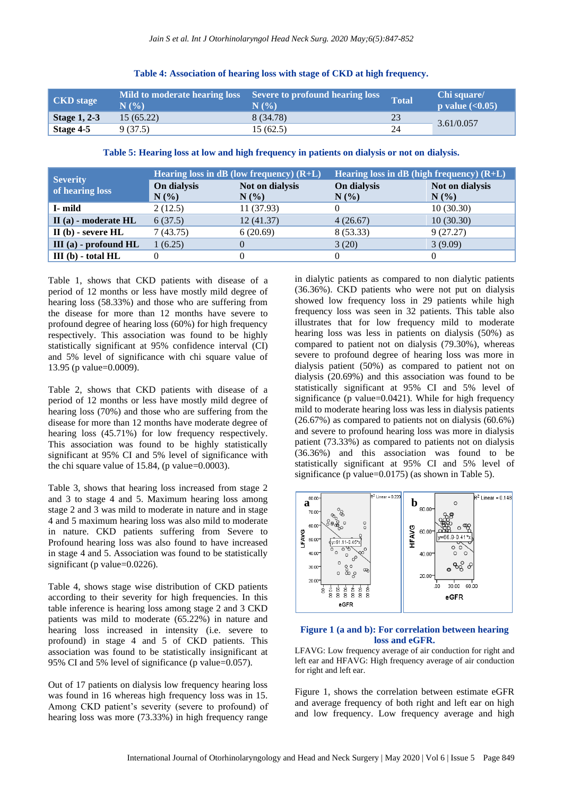| <b>CKD</b> stage    | Mild to moderate hearing loss<br>$N($ %) | Severe to profound hearing loss<br>N(% | <b>Total</b> | Chi square/<br><b>p</b> value $(<0.05$ ) |  |
|---------------------|------------------------------------------|----------------------------------------|--------------|------------------------------------------|--|
| <b>Stage 1, 2-3</b> | 15(65.22)                                | 8 (34.78)                              | 23           |                                          |  |
| Stage 4-5           | 9 (37.5)                                 | 15 (62.5)                              | 24           | 3.61/0.057                               |  |

# **Table 4: Association of hearing loss with stage of CKD at high frequency.**

**Table 5: Hearing loss at low and high frequency in patients on dialysis or not on dialysis.**

| <b>Severity</b>           | Hearing loss in $dB$ (low frequency) $(R+L)$ |                 | Hearing loss in $dB$ (high frequency) $(R+L)$ |                 |
|---------------------------|----------------------------------------------|-----------------|-----------------------------------------------|-----------------|
| of hearing loss           | On dialysis                                  | Not on dialysis | On dialysis                                   | Not on dialysis |
|                           | N(%                                          | $N(\%)$         | $N(\%)$                                       | N(%             |
| I- mild                   | 2(12.5)                                      | 11(37.93)       | $^{(1)}$                                      | 10(30.30)       |
| $II(a)$ - moderate $HL$   | 6(37.5)                                      | 12 (41.37)      | 4(26.67)                                      | 10(30.30)       |
| $II(b)$ - severe $HL$     | 7(43.75)                                     | 6(20.69)        | 8 (53.33)                                     | 9(27.27)        |
| $III$ (a) - profound $HL$ | 1(6.25)                                      |                 | 3(20)                                         | 3(9.09)         |
| $III$ (b) - total $HL$    |                                              |                 | 0                                             | $\Omega$        |

Table 1, shows that CKD patients with disease of a period of 12 months or less have mostly mild degree of hearing loss (58.33%) and those who are suffering from the disease for more than 12 months have severe to profound degree of hearing loss (60%) for high frequency respectively. This association was found to be highly statistically significant at 95% confidence interval (CI) and 5% level of significance with chi square value of 13.95 (p value=0.0009).

Table 2, shows that CKD patients with disease of a period of 12 months or less have mostly mild degree of hearing loss (70%) and those who are suffering from the disease for more than 12 months have moderate degree of hearing loss (45.71%) for low frequency respectively. This association was found to be highly statistically significant at 95% CI and 5% level of significance with the chi square value of 15.84, (p value=0.0003).

Table 3, shows that hearing loss increased from stage 2 and 3 to stage 4 and 5. Maximum hearing loss among stage 2 and 3 was mild to moderate in nature and in stage 4 and 5 maximum hearing loss was also mild to moderate in nature. CKD patients suffering from Severe to Profound hearing loss was also found to have increased in stage 4 and 5. Association was found to be statistically significant (p value=0.0226).

Table 4, shows stage wise distribution of CKD patients according to their severity for high frequencies. In this table inference is hearing loss among stage 2 and 3 CKD patients was mild to moderate (65.22%) in nature and hearing loss increased in intensity (i.e. severe to profound) in stage 4 and 5 of CKD patients. This association was found to be statistically insignificant at 95% CI and 5% level of significance (p value=0.057).

Out of 17 patients on dialysis low frequency hearing loss was found in 16 whereas high frequency loss was in 15. Among CKD patient's severity (severe to profound) of hearing loss was more (73.33%) in high frequency range

in dialytic patients as compared to non dialytic patients (36.36%). CKD patients who were not put on dialysis showed low frequency loss in 29 patients while high frequency loss was seen in 32 patients. This table also illustrates that for low frequency mild to moderate hearing loss was less in patients on dialysis (50%) as compared to patient not on dialysis (79.30%), whereas severe to profound degree of hearing loss was more in dialysis patient (50%) as compared to patient not on dialysis (20.69%) and this association was found to be statistically significant at 95% CI and 5% level of significance (p value=0.0421). While for high frequency mild to moderate hearing loss was less in dialysis patients (26.67%) as compared to patients not on dialysis (60.6%) and severe to profound hearing loss was more in dialysis patient (73.33%) as compared to patients not on dialysis (36.36%) and this association was found to be statistically significant at 95% CI and 5% level of significance (p value=0.0175) (as shown in Table 5).



#### **Figure 1 (a and b): For correlation between hearing loss and eGFR.**

LFAVG: Low frequency average of air conduction for right and left ear and HFAVG: High frequency average of air conduction for right and left ear.

Figure 1, shows the correlation between estimate eGFR and average frequency of both right and left ear on high and low frequency. Low frequency average and high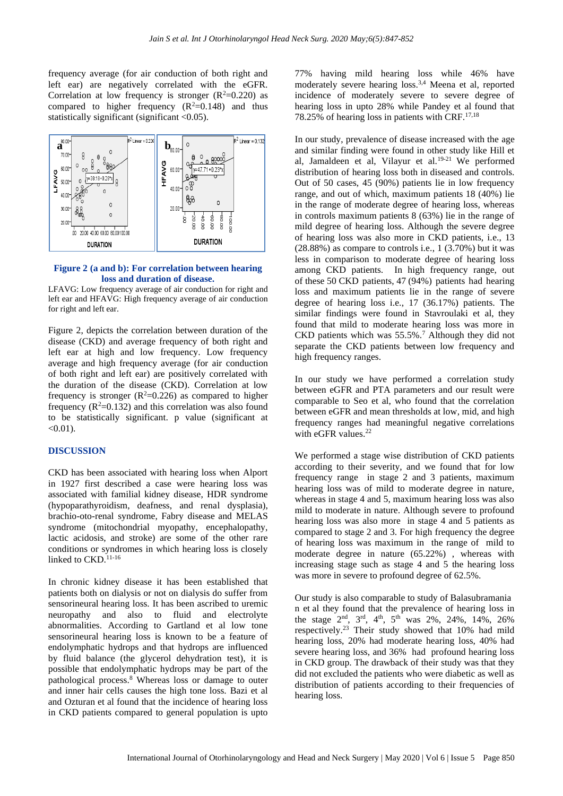frequency average (for air conduction of both right and left ear) are negatively correlated with the eGFR. Correlation at low frequency is stronger  $(R^2=0.220)$  as compared to higher frequency  $(R^2=0.148)$  and thus statistically significant (significant <0.05).



#### **Figure 2 (a and b): For correlation between hearing loss and duration of disease.**

LFAVG: Low frequency average of air conduction for right and left ear and HFAVG: High frequency average of air conduction for right and left ear.

Figure 2, depicts the correlation between duration of the disease (CKD) and average frequency of both right and left ear at high and low frequency. Low frequency average and high frequency average (for air conduction of both right and left ear) are positively correlated with the duration of the disease (CKD). Correlation at low frequency is stronger  $(R^2=0.226)$  as compared to higher frequency  $(R^2=0.132)$  and this correlation was also found to be statistically significant. p value (significant at  $<0.01$ ).

#### **DISCUSSION**

CKD has been associated with hearing loss when Alport in 1927 first described a case were hearing loss was associated with familial kidney disease, HDR syndrome (hypoparathyroidism, deafness, and renal dysplasia), brachio-oto-renal syndrome, Fabry disease and MELAS syndrome (mitochondrial myopathy, encephalopathy, lactic acidosis, and stroke) are some of the other rare conditions or syndromes in which hearing loss is closely linked to CKD.<sup>11-16</sup>

In chronic kidney disease it has been established that patients both on dialysis or not on dialysis do suffer from sensorineural hearing loss. It has been ascribed to uremic neuropathy and also to fluid and electrolyte abnormalities. According to Gartland et al low tone sensorineural hearing loss is known to be a feature of endolymphatic hydrops and that hydrops are influenced by fluid balance (the glycerol dehydration test), it is possible that endolymphatic hydrops may be part of the pathological process.<sup>8</sup> Whereas loss or damage to outer and inner hair cells causes the high tone loss. Bazi et al and Ozturan et al found that the incidence of hearing loss in CKD patients compared to general population is upto

77% having mild hearing loss while 46% have moderately severe hearing loss.3,4 Meena et al, reported incidence of moderately severe to severe degree of hearing loss in upto 28% while Pandey et al found that 78.25% of hearing loss in patients with CRF. $17,18$ 

In our study, prevalence of disease increased with the age and similar finding were found in other study like Hill et al, Jamaldeen et al, Vilayur et al.19-21 We performed distribution of hearing loss both in diseased and controls. Out of 50 cases, 45 (90%) patients lie in low frequency range, and out of which, maximum patients 18 (40%) lie in the range of moderate degree of hearing loss, whereas in controls maximum patients 8 (63%) lie in the range of mild degree of hearing loss. Although the severe degree of hearing loss was also more in CKD patients, i.e., 13 (28.88%) as compare to controls i.e., 1 (3.70%) but it was less in comparison to moderate degree of hearing loss among CKD patients. In high frequency range, out of these 50 CKD patients, 47 (94%) patients had hearing loss and maximum patients lie in the range of severe degree of hearing loss i.e., 17 (36.17%) patients. The similar findings were found in Stavroulaki et al, they found that mild to moderate hearing loss was more in CKD patients which was  $55.5\%$ .<sup>7</sup> Although they did not separate the CKD patients between low frequency and high frequency ranges.

In our study we have performed a correlation study between eGFR and PTA parameters and our result were comparable to Seo et al, who found that the correlation between eGFR and mean thresholds at low, mid, and high frequency ranges had meaningful negative correlations with eGFR values.<sup>22</sup>

We performed a stage wise distribution of CKD patients according to their severity, and we found that for low frequency range in stage 2 and 3 patients, maximum hearing loss was of mild to moderate degree in nature, whereas in stage 4 and 5, maximum hearing loss was also mild to moderate in nature. Although severe to profound hearing loss was also more in stage 4 and 5 patients as compared to stage 2 and 3. For high frequency the degree of hearing loss was maximum in the range of mild to moderate degree in nature (65.22%) , whereas with increasing stage such as stage 4 and 5 the hearing loss was more in severe to profound degree of 62.5%.

Our study is also comparable to study of Balasubramania n et al they found that the prevalence of hearing loss in the stage  $2^{nd}$ ,  $3^{rd}$ ,  $4^{th}$ ,  $5^{th}$  was  $2\%$ ,  $24\%$ ,  $14\%$ ,  $26\%$ respectively.<sup>23</sup> Their study showed that 10% had mild hearing loss, 20% had moderate hearing loss, 40% had severe hearing loss, and 36% had profound hearing loss in CKD group. The drawback of their study was that they did not excluded the patients who were diabetic as well as distribution of patients according to their frequencies of hearing loss.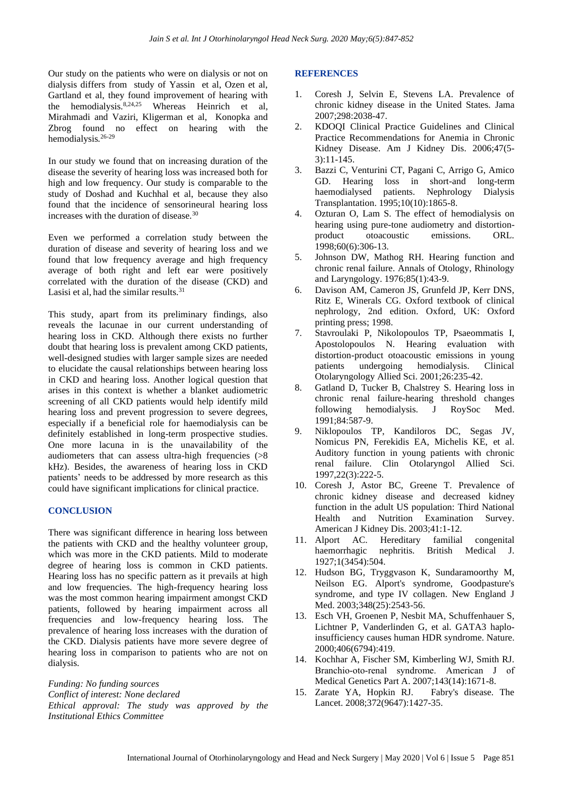Our study on the patients who were on dialysis or not on dialysis differs from study of Yassin et al, Ozen et al, Gartland et al, they found improvement of hearing with the hemodialysis.8,24,25 Whereas Heinrich et al, Mirahmadi and Vaziri, Kligerman et al, Konopka and Zbrog found no effect on hearing with the hemodialysis*.* 26-29 

In our study we found that on increasing duration of the disease the severity of hearing loss was increased both for high and low frequency. Our study is comparable to the study of Doshad and Kuchhal et al, because they also found that the incidence of sensorineural hearing loss increases with the duration of disease.<sup>30</sup>

Even we performed a correlation study between the duration of disease and severity of hearing loss and we found that low frequency average and high frequency average of both right and left ear were positively correlated with the duration of the disease (CKD) and Lasisi et al, had the similar results.<sup>31</sup>

This study, apart from its preliminary findings, also reveals the lacunae in our current understanding of hearing loss in CKD. Although there exists no further doubt that hearing loss is prevalent among CKD patients, well-designed studies with larger sample sizes are needed to elucidate the causal relationships between hearing loss in CKD and hearing loss. Another logical question that arises in this context is whether a blanket audiometric screening of all CKD patients would help identify mild hearing loss and prevent progression to severe degrees, especially if a beneficial role for haemodialysis can be definitely established in long-term prospective studies. One more lacuna in is the unavailability of the audiometers that can assess ultra-high frequencies (>8 kHz). Besides, the awareness of hearing loss in CKD patients' needs to be addressed by more research as this could have significant implications for clinical practice.

# **CONCLUSION**

There was significant difference in hearing loss between the patients with CKD and the healthy volunteer group, which was more in the CKD patients. Mild to moderate degree of hearing loss is common in CKD patients. Hearing loss has no specific pattern as it prevails at high and low frequencies. The high-frequency hearing loss was the most common hearing impairment amongst CKD patients, followed by hearing impairment across all frequencies and low-frequency hearing loss. The prevalence of hearing loss increases with the duration of the CKD. Dialysis patients have more severe degree of hearing loss in comparison to patients who are not on dialysis.

*Funding: No funding sources Conflict of interest: None declared Ethical approval: The study was approved by the Institutional Ethics Committee*

#### **REFERENCES**

- 1. Coresh J, Selvin E, Stevens LA. Prevalence of chronic kidney disease in the United States. Jama 2007;298:2038-47.
- 2. KDOQI Clinical Practice Guidelines and Clinical Practice Recommendations for Anemia in Chronic Kidney Disease. Am J Kidney Dis. 2006;47(5- 3):11-145.
- 3. Bazzi C, Venturini CT, Pagani C, Arrigo G, Amico GD. Hearing loss in short-and long-term haemodialysed patients. Nephrology Dialysis Transplantation. 1995;10(10):1865-8.
- 4. Ozturan O, Lam S. The effect of hemodialysis on hearing using pure-tone audiometry and distortionproduct otoacoustic emissions. ORL. 1998;60(6):306-13.
- 5. Johnson DW, Mathog RH. Hearing function and chronic renal failure. Annals of Otology, Rhinology and Laryngology. 1976;85(1):43-9.
- 6. Davison AM, Cameron JS, Grunfeld JP, Kerr DNS, Ritz E, Winerals CG. Oxford textbook of clinical nephrology, 2nd edition. Oxford, UK: Oxford printing press; 1998.
- 7. Stavroulaki P, Nikolopoulos TP, Psaeommatis I, Apostolopoulos N. Hearing evaluation with distortion-product otoacoustic emissions in young patients undergoing hemodialysis. Clinical Otolaryngology Allied Sci. 2001;26:235-42.
- 8. Gatland D, Tucker B, Chalstrey S. Hearing loss in chronic renal failure-hearing threshold changes following hemodialysis. J RoySoc Med. 1991;84:587-9.
- 9. Niklopoulos TP, Kandiloros DC, Segas JV, Nomicus PN, Ferekidis EA, Michelis KE, et al. Auditory function in young patients with chronic renal failure. Clin Otolaryngol Allied Sci. 1997,22(3):222-5.
- 10. Coresh J, Astor BC, Greene T. Prevalence of chronic kidney disease and decreased kidney function in the adult US population: Third National Health and Nutrition Examination Survey. American J Kidney Dis. 2003;41:1-12.
- 11. Alport AC. Hereditary familial congenital haemorrhagic nephritis. British Medical J. 1927;1(3454):504.
- 12. Hudson BG, Tryggvason K, Sundaramoorthy M, Neilson EG. Alport's syndrome, Goodpasture's syndrome, and type IV collagen. New England J Med. 2003;348(25):2543-56.
- 13. Esch VH, Groenen P, Nesbit MA, Schuffenhauer S, Lichtner P, Vanderlinden G, et al. GATA3 haploinsufficiency causes human HDR syndrome. Nature. 2000;406(6794):419.
- 14. Kochhar A, Fischer SM, Kimberling WJ, Smith RJ. Branchio‐oto‐renal syndrome. American J of Medical Genetics Part A. 2007;143(14):1671-8.
- 15. Zarate YA, Hopkin RJ. Fabry's disease. The Lancet. 2008;372(9647):1427-35.